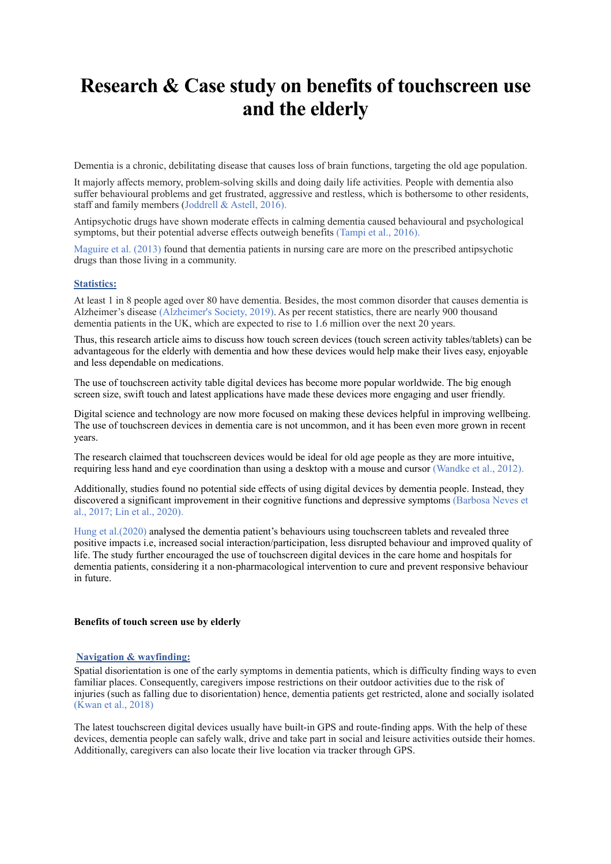# **Research & Case study on benefits of touchscreen use and the elderly**

Dementia is a chronic, debilitating disease that causes loss of brain functions, targeting the old age population.

It majorly affects memory, problem-solving skills and doing daily life activities. People with dementia also suffer behavioural problems and get frustrated, aggressive and restless, which is bothersome to other residents, staff and family members (Joddrell & Astell, 2016).

Antipsychotic drugs have shown moderate effects in calming dementia caused behavioural and psychological symptoms, but their potential adverse effects outweigh benefits (Tampi et al., 2016).

Maguire et al. (2013) found that dementia patients in nursing care are more on the prescribed antipsychotic drugs than those living in a community.

### **Statistics:**

At least 1 in 8 people aged over 80 have dementia. Besides, the most common disorder that causes dementia is Alzheimer's disease (Alzheimer's Society, 2019). As per recent statistics, there are nearly 900 thousand dementia patients in the UK, which are expected to rise to 1.6 million over the next 20 years.

Thus, this research article aims to discuss how touch screen devices (touch screen activity tables/tablets) can be advantageous for the elderly with dementia and how these devices would help make their lives easy, enjoyable and less dependable on medications.

The use of touchscreen activity table digital devices has become more popular worldwide. The big enough screen size, swift touch and latest applications have made these devices more engaging and user friendly.

Digital science and technology are now more focused on making these devices helpful in improving wellbeing. The use of touchscreen devices in dementia care is not uncommon, and it has been even more grown in recent years.

The research claimed that touchscreen devices would be ideal for old age people as they are more intuitive, requiring less hand and eye coordination than using a desktop with a mouse and cursor (Wandke et al., 2012).

Additionally, studies found no potential side effects of using digital devices by dementia people. Instead, they discovered a significant improvement in their cognitive functions and depressive symptoms (Barbosa Neves et al., 2017; Lin et al., 2020).

Hung et al.(2020) analysed the dementia patient's behaviours using touchscreen tablets and revealed three positive impacts i.e, increased social interaction/participation, less disrupted behaviour and improved quality of life. The study further encouraged the use of touchscreen digital devices in the care home and hospitals for dementia patients, considering it a non-pharmacological intervention to cure and prevent responsive behaviour in future.

## **Benefits of touch screen use by elderly**

## **Navigation & wayfinding:**

Spatial disorientation is one of the early symptoms in dementia patients, which is difficulty finding ways to even familiar places. Consequently, caregivers impose restrictions on their outdoor activities due to the risk of injuries (such as falling due to disorientation) hence, dementia patients get restricted, alone and socially isolated (Kwan et al., 2018)

The latest touchscreen digital devices usually have built-in GPS and route-finding apps. With the help of these devices, dementia people can safely walk, drive and take part in social and leisure activities outside their homes. Additionally, caregivers can also locate their live location via tracker through GPS.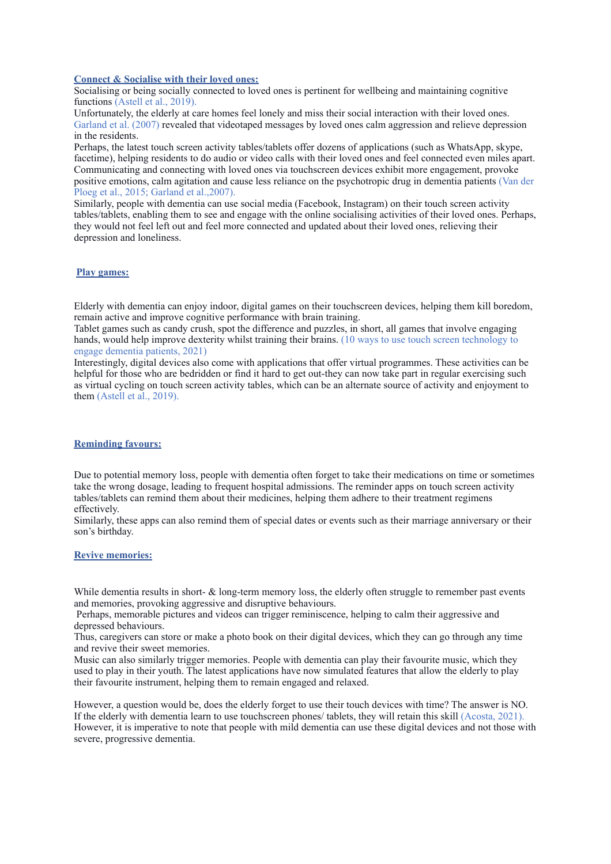#### **Connect & Socialise with their loved ones:**

Socialising or being socially connected to loved ones is pertinent for wellbeing and maintaining cognitive functions (Astell et al., 2019).

Unfortunately, the elderly at care homes feel lonely and miss their social interaction with their loved ones. Garland et al. (2007) revealed that videotaped messages by loved ones calm aggression and relieve depression in the residents.

Perhaps, the latest touch screen activity tables/tablets offer dozens of applications (such as WhatsApp, skype, facetime), helping residents to do audio or video calls with their loved ones and feel connected even miles apart. Communicating and connecting with loved ones via touchscreen devices exhibit more engagement, provoke positive emotions, calm agitation and cause less reliance on the psychotropic drug in dementia patients (Van der Ploeg et al., 2015; Garland et al.,2007).

Similarly, people with dementia can use social media (Facebook, Instagram) on their touch screen activity tables/tablets, enabling them to see and engage with the online socialising activities of their loved ones. Perhaps, they would not feel left out and feel more connected and updated about their loved ones, relieving their depression and loneliness.

## **Play games:**

Elderly with dementia can enjoy indoor, digital games on their touchscreen devices, helping them kill boredom, remain active and improve cognitive performance with brain training.

Tablet games such as candy crush, spot the difference and puzzles, in short, all games that involve engaging hands, would help improve dexterity whilst training their brains. (10 ways to use touch screen technology to engage dementia patients, 2021)

Interestingly, digital devices also come with applications that offer virtual programmes. These activities can be helpful for those who are bedridden or find it hard to get out-they can now take part in regular exercising such as virtual cycling on touch screen activity tables, which can be an alternate source of activity and enjoyment to them (Astell et al., 2019).

## **Reminding favours:**

Due to potential memory loss, people with dementia often forget to take their medications on time or sometimes take the wrong dosage, leading to frequent hospital admissions. The reminder apps on touch screen activity tables/tablets can remind them about their medicines, helping them adhere to their treatment regimens effectively.

Similarly, these apps can also remind them of special dates or events such as their marriage anniversary or their son's birthday.

### **Revive memories:**

While dementia results in short- & long-term memory loss, the elderly often struggle to remember past events and memories, provoking aggressive and disruptive behaviours.

 Perhaps, memorable pictures and videos can trigger reminiscence, helping to calm their aggressive and depressed behaviours.

Thus, caregivers can store or make a photo book on their digital devices, which they can go through any time and revive their sweet memories.

Music can also similarly trigger memories. People with dementia can play their favourite music, which they used to play in their youth. The latest applications have now simulated features that allow the elderly to play their favourite instrument, helping them to remain engaged and relaxed.

However, a question would be, does the elderly forget to use their touch devices with time? The answer is NO. If the elderly with dementia learn to use touchscreen phones/ tablets, they will retain this skill (Acosta, 2021). However, it is imperative to note that people with mild dementia can use these digital devices and not those with severe, progressive dementia.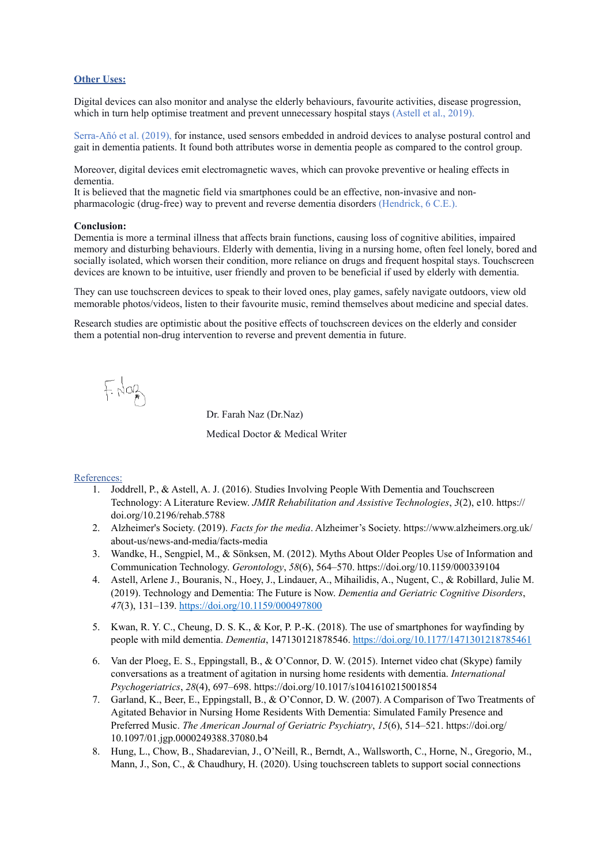## **Other Uses:**

Digital devices can also monitor and analyse the elderly behaviours, favourite activities, disease progression, which in turn help optimise treatment and prevent unnecessary hospital stays (Astell et al., 2019).

Serra-Añó et al. (2019), for instance, used sensors embedded in android devices to analyse postural control and gait in dementia patients. It found both attributes worse in dementia people as compared to the control group.

Moreover, digital devices emit electromagnetic waves, which can provoke preventive or healing effects in dementia.

It is believed that the magnetic field via smartphones could be an effective, non-invasive and nonpharmacologic (drug-free) way to prevent and reverse dementia disorders (Hendrick, 6 C.E.).

### **Conclusion:**

Dementia is more a terminal illness that affects brain functions, causing loss of cognitive abilities, impaired memory and disturbing behaviours. Elderly with dementia, living in a nursing home, often feel lonely, bored and socially isolated, which worsen their condition, more reliance on drugs and frequent hospital stays. Touchscreen devices are known to be intuitive, user friendly and proven to be beneficial if used by elderly with dementia.

They can use touchscreen devices to speak to their loved ones, play games, safely navigate outdoors, view old memorable photos/videos, listen to their favourite music, remind themselves about medicine and special dates.

Research studies are optimistic about the positive effects of touchscreen devices on the elderly and consider them a potential non-drug intervention to reverse and prevent dementia in future.

E you

Dr. Farah Naz (Dr.Naz)

Medical Doctor & Medical Writer

### References:

- 1. Joddrell, P., & Astell, A. J. (2016). Studies Involving People With Dementia and Touchscreen Technology: A Literature Review. *JMIR Rehabilitation and Assistive Technologies*, *3*(2), e10. https:// doi.org/10.2196/rehab.5788
- 2. Alzheimer's Society. (2019). *Facts for the media*. Alzheimer's Society. https://www.alzheimers.org.uk/ about-us/news-and-media/facts-media
- 3. Wandke, H., Sengpiel, M., & Sönksen, M. (2012). Myths About Older Peoples Use of Information and Communication Technology. *Gerontology*, *58*(6), 564–570. https://doi.org/10.1159/000339104
- 4. Astell, Arlene J., Bouranis, N., Hoey, J., Lindauer, A., Mihailidis, A., Nugent, C., & Robillard, Julie M. (2019). Technology and Dementia: The Future is Now. *Dementia and Geriatric Cognitive Disorders*, *47*(3), 131–139. <https://doi.org/10.1159/000497800>
- 5. Kwan, R. Y. C., Cheung, D. S. K., & Kor, P. P.-K. (2018). The use of smartphones for wayfinding by people with mild dementia. *Dementia*, 147130121878546. <https://doi.org/10.1177/1471301218785461>
- 6. Van der Ploeg, E. S., Eppingstall, B., & O'Connor, D. W. (2015). Internet video chat (Skype) family conversations as a treatment of agitation in nursing home residents with dementia. *International Psychogeriatrics*, *28*(4), 697–698. https://doi.org/10.1017/s1041610215001854
- 7. Garland, K., Beer, E., Eppingstall, B., & O'Connor, D. W. (2007). A Comparison of Two Treatments of Agitated Behavior in Nursing Home Residents With Dementia: Simulated Family Presence and Preferred Music. *The American Journal of Geriatric Psychiatry*, *15*(6), 514–521. https://doi.org/ 10.1097/01.jgp.0000249388.37080.b4
- 8. Hung, L., Chow, B., Shadarevian, J., O'Neill, R., Berndt, A., Wallsworth, C., Horne, N., Gregorio, M., Mann, J., Son, C., & Chaudhury, H. (2020). Using touchscreen tablets to support social connections